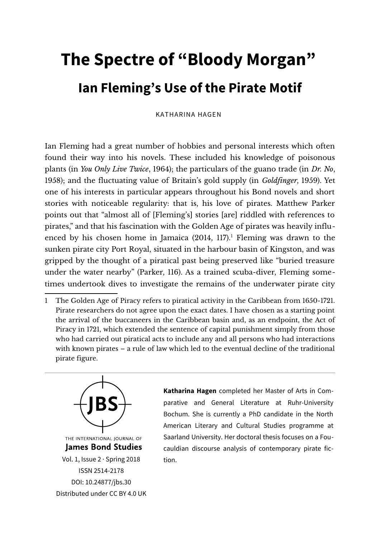## **The Spectre of "Bloody Morgan" Ian Fleming's Use of the Pirate Motif**

KATHARINA HAGEN

Ian Fleming had a great number of hobbies and personal interests which often found their way into his novels. These included his knowledge of poisonous plants (in *You Only Live Twice*, 1964); the particulars of the guano trade (in *Dr. No*, 1958); and the fluctuating value of Britain's gold supply (in *Goldfinger*, 1959). Yet one of his interests in particular appears throughout his Bond novels and short stories with noticeable regularity: that is, his love of pirates. Matthew Parker points out that "almost all of [Fleming's] stories [are] riddled with references to pirates," and that his fascination with the Golden Age of pirates was heavily influenced by his chosen home in Jamaica  $(2014, 117)$  $(2014, 117)$  $(2014, 117)$ .<sup>1</sup> Fleming was drawn to the sunken pirate city Port Royal, situated in the harbour basin of Kingston, and was gripped by the thought of a piratical past being preserved like "buried treasure under the water nearby" (Parker, 116). As a trained scuba-diver, Fleming sometimes undertook dives to investigate the remains of the underwater pirate city

<span id="page-0-0"></span><sup>1</sup> The Golden Age of Piracy refers to piratical activity in the Caribbean from 1650-1721. Pirate researchers do not agree upon the exact dates. I have chosen as a starting point the arrival of the buccaneers in the Caribbean basin and, as an endpoint, the Act of Piracy in 1721, which extended the sentence of capital punishment simply from those who had carried out piratical acts to include any and all persons who had interactions with known pirates – a rule of law which led to the eventual decline of the traditional pirate figure.



**Katharina Hagen** completed her Master of Arts in Comparative and General Literature at Ruhr-University Bochum. She is currently a PhD candidate in the North American Literary and Cultural Studies programme at Saarland University. Her doctoral thesis focuses on a Foucauldian discourse analysis of contemporary pirate fiction.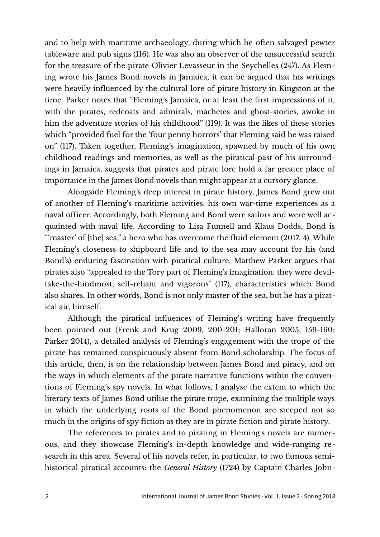and to help with maritime archaeology, during which he often salvaged pewter tableware and pub signs (116). He was also an observer of the unsuccessful search for the treasure of the pirate Olivier Levasseur in the Seychelles (247). As Fleming wrote his James Bond novels in Jamaica, it can be argued that his writings were heavily influenced by the cultural lore of pirate history in Kingston at the time. Parker notes that "Fleming's Jamaica, or at least the first impressions of it, with the pirates, redcoats and admirals, machetes and ghost-stories, awoke in him the adventure stories of his childhood" (119). It was the likes of these stories which "provided fuel for the 'four penny horrors' that Fleming said he was raised on" (117). Taken together, Fleming's imagination, spawned by much of his own childhood readings and memories, as well as the piratical past of his surroundings in Jamaica, suggests that pirates and pirate lore hold a far greater place of importance in the James Bond novels than might appear at a cursory glance.

Alongside Fleming's deep interest in pirate history, James Bond grew out of another of Fleming's maritime activities: his own war-time experiences as a naval officer. Accordingly, both Fleming and Bond were sailors and were well acquainted with naval life. According to Lisa Funnell and Klaus Dodds, Bond is "master' of [the] sea," a hero who has overcome the fluid element (2017, 4). While Fleming's closeness to shipboard life and to the sea may account for his (and Bond's) enduring fascination with piratical culture, Matthew Parker argues that pirates also "appealed to the Tory part of Fleming's imagination: they were deviltake-the-hindmost, self-reliant and vigorous" (117), characteristics which Bond also shares. In other words, Bond is not only master of the sea, but he has a piratical air, himself.

Although the piratical influences of Fleming's writing have frequently been pointed out (Frenk and Krug 2009, 200-201; Halloran 2005, 159-160; Parker 2014), a detailed analysis of Fleming's engagement with the trope of the pirate has remained conspicuously absent from Bond scholarship. The focus of this article, then, is on the relationship between James Bond and piracy, and on the ways in which elements of the pirate narrative functions within the conventions of Fleming's spy novels. In what follows, I analyse the extent to which the literary texts of James Bond utilise the pirate trope, examining the multiple ways in which the underlying roots of the Bond phenomenon are steeped not so much in the origins of spy fiction as they are in pirate fiction and pirate history.

The references to pirates and to pirating in Fleming's novels are numerous, and they showcase Fleming's in-depth knowledge and wide-ranging research in this area. Several of his novels refer, in particular, to two famous semihistorical piratical accounts: the *General History* (1724) by Captain Charles John-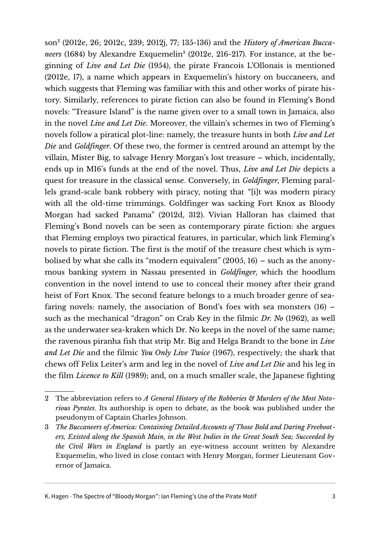son[2](#page-2-0) (2012e, 26; 2012c, 239; 2012j, 77; 135-136) and the *History of American Bucca-*neers (1684) by Alexandre Exquemelin<sup>[3](#page-2-1)</sup> (2012e, 216-217). For instance, at the beginning of *Live and Let Die* (1954), the pirate Francois L'Ollonais is mentioned (2012e, 17), a name which appears in Exquemelin's history on buccaneers, and which suggests that Fleming was familiar with this and other works of pirate history. Similarly, references to pirate fiction can also be found in Fleming's Bond novels: "Treasure Island" is the name given over to a small town in Jamaica, also in the novel *Live and Let Die*. Moreover, the villain's schemes in two of Fleming's novels follow a piratical plot-line: namely, the treasure hunts in both *Live and Let Die* and *Goldfinger*. Of these two, the former is centred around an attempt by the villain, Mister Big, to salvage Henry Morgan's lost treasure – which, incidentally, ends up in MI6's funds at the end of the novel. Thus, *Live and Let Die* depicts a quest for treasure in the classical sense. Conversely, in *Goldfinger*, Fleming parallels grand-scale bank robbery with piracy, noting that "[i]t was modern piracy with all the old-time trimmings. Goldfinger was sacking Fort Knox as Bloody Morgan had sacked Panama" (2012d, 312). Vivian Halloran has claimed that Fleming's Bond novels can be seen as contemporary pirate fiction: she argues that Fleming employs two piractical features, in particular, which link Fleming's novels to pirate fiction. The first is the motif of the treasure chest which is symbolised by what she calls its "modern equivalent" (2005, 16) – such as the anonymous banking system in Nassau presented in *Goldfinger*, which the hoodlum convention in the novel intend to use to conceal their money after their grand heist of Fort Knox. The second feature belongs to a much broader genre of seafaring novels: namely, the association of Bond's foes with sea monsters (16) – such as the mechanical "dragon" on Crab Key in the filmic *Dr. No* (1962), as well as the underwater sea-kraken which Dr. No keeps in the novel of the same name; the ravenous piranha fish that strip Mr. Big and Helga Brandt to the bone in *Live and Let Die* and the filmic *You Only Live Twice* (1967), respectively; the shark that chews off Felix Leiter's arm and leg in the novel of *Live and Let Die* and his leg in the film *Licence to Kill* (1989); and, on a much smaller scale, the Japanese fighting

<span id="page-2-0"></span><sup>2</sup> The abbreviation refers to *A General History of the Robberies* & Murders of the Most Noto*rious Pyrates*. Its authorship is open to debate, as the book was published under the pseudonym of Captain Charles Johnson.

<span id="page-2-1"></span><sup>3</sup> *The Buccaneers of America: Containing Detailed Accounts of Those Bold and Daring Freebooters, Existed along the Spanish Main, in the West Indies in the Great South Sea; Succeeded by the Civil Wars in England* is partly an eye-witness account written by Alexandre Exquemelin, who lived in close contact with Henry Morgan, former Lieutenant Governor of Jamaica.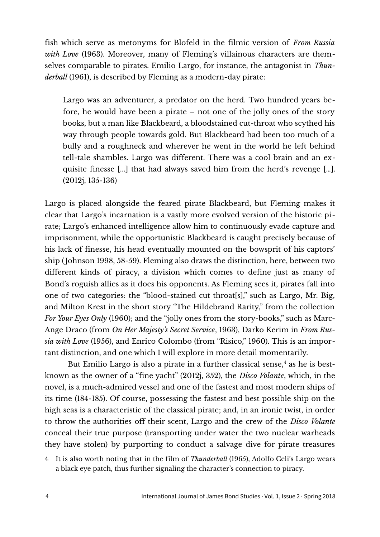fish which serve as metonyms for Blofeld in the filmic version of *From Russia with Love* (1963). Moreover, many of Fleming's villainous characters are themselves comparable to pirates. Emilio Largo, for instance, the antagonist in *Thunderball* (1961), is described by Fleming as a modern-day pirate:

Largo was an adventurer, a predator on the herd. Two hundred years before, he would have been a pirate – not one of the jolly ones of the story books, but a man like Blackbeard, a bloodstained cut-throat who scythed his way through people towards gold. But Blackbeard had been too much of a bully and a roughneck and wherever he went in the world he left behind tell-tale shambles. Largo was different. There was a cool brain and an exquisite finesse [...] that had always saved him from the herd's revenge […]. (2012j, 135-136)

Largo is placed alongside the feared pirate Blackbeard, but Fleming makes it clear that Largo's incarnation is a vastly more evolved version of the historic pirate; Largo's enhanced intelligence allow him to continuously evade capture and imprisonment, while the opportunistic Blackbeard is caught precisely because of his lack of finesse, his head eventually mounted on the bowsprit of his captors' ship (Johnson 1998, 58-59). Fleming also draws the distinction, here, between two different kinds of piracy, a division which comes to define just as many of Bond's roguish allies as it does his opponents. As Fleming sees it, pirates fall into one of two categories: the "blood-stained cut throat[s]," such as Largo, Mr. Big, and Milton Krest in the short story "The Hildebrand Rarity," from the collection *For Your Eyes Only* (1960); and the "jolly ones from the story-books," such as Marc-Ange Draco (from *On Her Majesty's Secret Service*, 1963), Darko Kerim in *From Russia with Love* (1956), and Enrico Colombo (from "Risico," 1960). This is an important distinction, and one which I will explore in more detail momentarily.

But Emilio Largo is also a pirate in a further classical sense,<sup>[4](#page-3-0)</sup> as he is bestknown as the owner of a "fine yacht" (2012j, 352), the *Disco Volante*, which, in the novel, is a much-admired vessel and one of the fastest and most modern ships of its time (184-185). Of course, possessing the fastest and best possible ship on the high seas is a characteristic of the classical pirate; and, in an ironic twist, in order to throw the authorities off their scent, Largo and the crew of the *Disco Volante* conceal their true purpose (transporting under water the two nuclear warheads they have stolen) by purporting to conduct a salvage dive for pirate treasures

<span id="page-3-0"></span><sup>4</sup> It is also worth noting that in the film of *Thunderball* (1965), Adolfo Celi's Largo wears a black eye patch, thus further signaling the character's connection to piracy.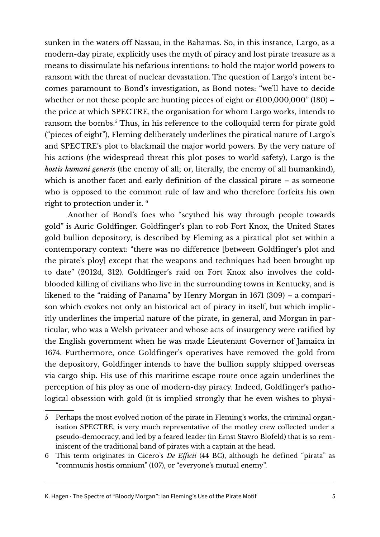sunken in the waters off Nassau, in the Bahamas. So, in this instance, Largo, as a modern-day pirate, explicitly uses the myth of piracy and lost pirate treasure as a means to dissimulate his nefarious intentions: to hold the major world powers to ransom with the threat of nuclear devastation. The question of Largo's intent becomes paramount to Bond's investigation, as Bond notes: "we'll have to decide whether or not these people are hunting pieces of eight or  $£100,000,000"$  (180) – the price at which SPECTRE, the organisation for whom Largo works, intends to ransom the bombs.<sup>[5](#page-4-0)</sup> Thus, in his reference to the colloquial term for pirate gold ("pieces of eight"), Fleming deliberately underlines the piratical nature of Largo's and SPECTRE's plot to blackmail the major world powers. By the very nature of his actions (the widespread threat this plot poses to world safety), Largo is the *hostis humani generis* (the enemy of all; or, literally, the enemy of all humankind), which is another facet and early definition of the classical pirate – as someone who is opposed to the common rule of law and who therefore forfeits his own right to protection under it. [6](#page-4-1)

Another of Bond's foes who "scythed his way through people towards gold" is Auric Goldfinger. Goldfinger's plan to rob Fort Knox, the United States gold bullion depository, is described by Fleming as a piratical plot set within a contemporary context: "there was no difference [between Goldfinger's plot and the pirate's ploy] except that the weapons and techniques had been brought up to date" (2012d, 312). Goldfinger's raid on Fort Knox also involves the coldblooded killing of civilians who live in the surrounding towns in Kentucky, and is likened to the "raiding of Panama" by Henry Morgan in 1671 (309) – a comparison which evokes not only an historical act of piracy in itself, but which implicitly underlines the imperial nature of the pirate, in general, and Morgan in particular, who was a Welsh privateer and whose acts of insurgency were ratified by the English government when he was made Lieutenant Governor of Jamaica in 1674. Furthermore, once Goldfinger's operatives have removed the gold from the depository, Goldfinger intends to have the bullion supply shipped overseas via cargo ship. His use of this maritime escape route once again underlines the perception of his ploy as one of modern-day piracy. Indeed, Goldfinger's pathological obsession with gold (it is implied strongly that he even wishes to physi-

<span id="page-4-0"></span><sup>5</sup> Perhaps the most evolved notion of the pirate in Fleming's works, the criminal organisation SPECTRE, is very much representative of the motley crew collected under a pseudo-democracy, and led by a feared leader (in Ernst Stavro Blofeld) that is so reminiscent of the traditional band of pirates with a captain at the head.

<span id="page-4-1"></span><sup>6</sup> This term originates in Cicero's *De Efficii* (44 BC), although he defined "pirata" as "communis hostis omnium" (107), or "everyone's mutual enemy".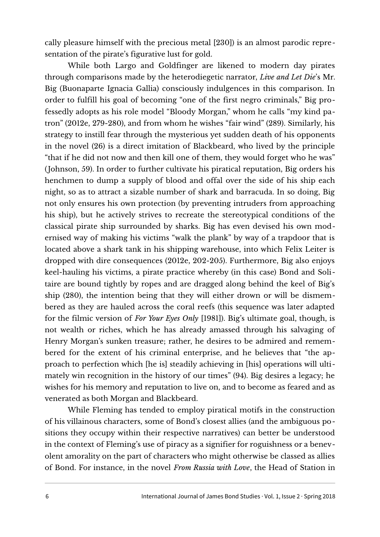cally pleasure himself with the precious metal [230]) is an almost parodic representation of the pirate's figurative lust for gold.

While both Largo and Goldfinger are likened to modern day pirates through comparisons made by the heterodiegetic narrator, *Live and Let Die*'s Mr. Big (Buonaparte Ignacia Gallia) consciously indulgences in this comparison. In order to fulfill his goal of becoming "one of the first negro criminals," Big professedly adopts as his role model "Bloody Morgan," whom he calls "my kind patron" (2012e, 279-280), and from whom he wishes "fair wind" (289). Similarly, his strategy to instill fear through the mysterious yet sudden death of his opponents in the novel (26) is a direct imitation of Blackbeard, who lived by the principle "that if he did not now and then kill one of them, they would forget who he was" (Johnson, 59). In order to further cultivate his piratical reputation, Big orders his henchmen to dump a supply of blood and offal over the side of his ship each night, so as to attract a sizable number of shark and barracuda. In so doing, Big not only ensures his own protection (by preventing intruders from approaching his ship), but he actively strives to recreate the stereotypical conditions of the classical pirate ship surrounded by sharks. Big has even devised his own modernised way of making his victims "walk the plank" by way of a trapdoor that is located above a shark tank in his shipping warehouse, into which Felix Leiter is dropped with dire consequences (2012e, 202-205). Furthermore, Big also enjoys keel-hauling his victims, a pirate practice whereby (in this case) Bond and Solitaire are bound tightly by ropes and are dragged along behind the keel of Big's ship (280), the intention being that they will either drown or will be dismembered as they are hauled across the coral reefs (this sequence was later adapted for the filmic version of *For Your Eyes Only* [1981]). Big's ultimate goal, though, is not wealth or riches, which he has already amassed through his salvaging of Henry Morgan's sunken treasure; rather, he desires to be admired and remembered for the extent of his criminal enterprise, and he believes that "the approach to perfection which [he is] steadily achieving in [his] operations will ultimately win recognition in the history of our times" (94). Big desires a legacy; he wishes for his memory and reputation to live on, and to become as feared and as venerated as both Morgan and Blackbeard.

While Fleming has tended to employ piratical motifs in the construction of his villainous characters, some of Bond's closest allies (and the ambiguous positions they occupy within their respective narratives) can better be understood in the context of Fleming's use of piracy as a signifier for roguishness or a benevolent amorality on the part of characters who might otherwise be classed as allies of Bond. For instance, in the novel *From Russia with Love*, the Head of Station in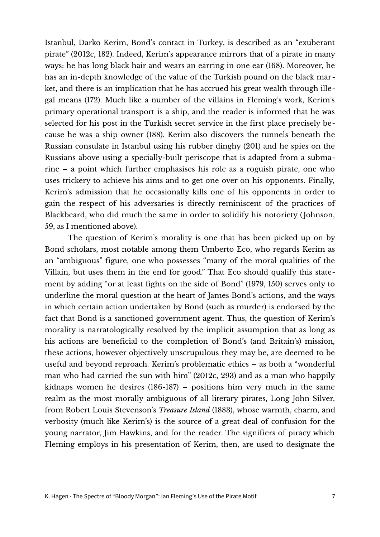Istanbul, Darko Kerim, Bond's contact in Turkey, is described as an "exuberant pirate" (2012c, 182). Indeed, Kerim's appearance mirrors that of a pirate in many ways: he has long black hair and wears an earring in one ear (168). Moreover, he has an in-depth knowledge of the value of the Turkish pound on the black market, and there is an implication that he has accrued his great wealth through illegal means (172). Much like a number of the villains in Fleming's work, Kerim's primary operational transport is a ship, and the reader is informed that he was selected for his post in the Turkish secret service in the first place precisely because he was a ship owner (188). Kerim also discovers the tunnels beneath the Russian consulate in Istanbul using his rubber dinghy (201) and he spies on the Russians above using a specially-built periscope that is adapted from a submarine – a point which further emphasises his role as a roguish pirate, one who uses trickery to achieve his aims and to get one over on his opponents. Finally, Kerim's admission that he occasionally kills one of his opponents in order to gain the respect of his adversaries is directly reminiscent of the practices of Blackbeard, who did much the same in order to solidify his notoriety (Johnson, 59, as I mentioned above).

The question of Kerim's morality is one that has been picked up on by Bond scholars, most notable among them Umberto Eco, who regards Kerim as an "ambiguous" figure, one who possesses "many of the moral qualities of the Villain, but uses them in the end for good." That Eco should qualify this statement by adding "or at least fights on the side of Bond" (1979, 150) serves only to underline the moral question at the heart of James Bond's actions, and the ways in which certain action undertaken by Bond (such as murder) is endorsed by the fact that Bond is a sanctioned government agent. Thus, the question of Kerim's morality is narratologically resolved by the implicit assumption that as long as his actions are beneficial to the completion of Bond's (and Britain's) mission, these actions, however objectively unscrupulous they may be, are deemed to be useful and beyond reproach. Kerim's problematic ethics – as both a "wonderful man who had carried the sun with him" (2012c, 293) and as a man who happily kidnaps women he desires (186-187) – positions him very much in the same realm as the most morally ambiguous of all literary pirates, Long John Silver, from Robert Louis Stevenson's *Treasure Island* (1883), whose warmth, charm, and verbosity (much like Kerim's) is the source of a great deal of confusion for the young narrator, Jim Hawkins, and for the reader. The signifiers of piracy which Fleming employs in his presentation of Kerim, then, are used to designate the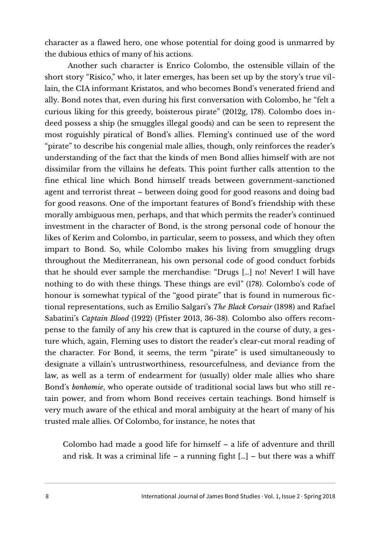character as a flawed hero, one whose potential for doing good is unmarred by the dubious ethics of many of his actions.

Another such character is Enrico Colombo, the ostensible villain of the short story "Risico," who, it later emerges, has been set up by the story's true villain, the CIA informant Kristatos, and who becomes Bond's venerated friend and ally. Bond notes that, even during his first conversation with Colombo, he "felt a curious liking for this greedy, boisterous pirate" (2012g, 178). Colombo does indeed possess a ship (he smuggles illegal goods) and can be seen to represent the most roguishly piratical of Bond's allies. Fleming's continued use of the word "pirate" to describe his congenial male allies, though, only reinforces the reader's understanding of the fact that the kinds of men Bond allies himself with are not dissimilar from the villains he defeats. This point further calls attention to the fine ethical line which Bond himself treads between government-sanctioned agent and terrorist threat – between doing good for good reasons and doing bad for good reasons. One of the important features of Bond's friendship with these morally ambiguous men, perhaps, and that which permits the reader's continued investment in the character of Bond, is the strong personal code of honour the likes of Kerim and Colombo, in particular, seem to possess, and which they often impart to Bond. So, while Colombo makes his living from smuggling drugs throughout the Mediterranean, his own personal code of good conduct forbids that he should ever sample the merchandise: "Drugs […] no! Never! I will have nothing to do with these things. These things are evil" (178). Colombo's code of honour is somewhat typical of the "good pirate" that is found in numerous fictional representations, such as Emilio Salgari's *The Black Corsair* (1898) and Rafael Sabatini's *Captain Blood* (1922) (Pfister 2013, 36-38). Colombo also offers recompense to the family of any his crew that is captured in the course of duty, a ges ture which, again, Fleming uses to distort the reader's clear-cut moral reading of the character. For Bond, it seems, the term "pirate" is used simultaneously to designate a villain's untrustworthiness, resourcefulness, and deviance from the law, as well as a term of endearment for (usually) older male allies who share Bond's *bonhomie*, who operate outside of traditional social laws but who still retain power, and from whom Bond receives certain teachings. Bond himself is very much aware of the ethical and moral ambiguity at the heart of many of his trusted male allies. Of Colombo, for instance, he notes that

Colombo had made a good life for himself – a life of adventure and thrill and risk. It was a criminal life – a running fight  $[\dots]$  – but there was a whiff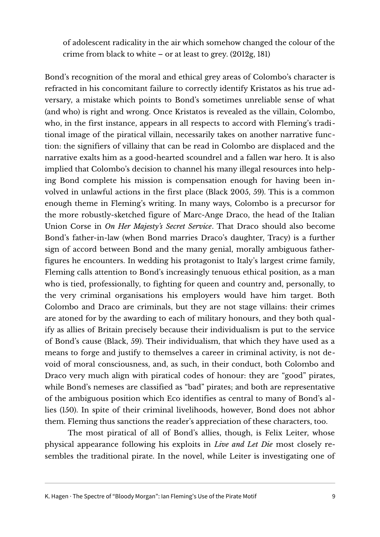of adolescent radicality in the air which somehow changed the colour of the crime from black to white – or at least to grey. (2012g, 181)

Bond's recognition of the moral and ethical grey areas of Colombo's character is refracted in his concomitant failure to correctly identify Kristatos as his true adversary, a mistake which points to Bond's sometimes unreliable sense of what (and who) is right and wrong. Once Kristatos is revealed as the villain, Colombo, who, in the first instance, appears in all respects to accord with Fleming's traditional image of the piratical villain, necessarily takes on another narrative function: the signifiers of villainy that can be read in Colombo are displaced and the narrative exalts him as a good-hearted scoundrel and a fallen war hero. It is also implied that Colombo's decision to channel his many illegal resources into helping Bond complete his mission is compensation enough for having been involved in unlawful actions in the first place (Black 2005, 59). This is a common enough theme in Fleming's writing. In many ways, Colombo is a precursor for the more robustly-sketched figure of Marc-Ange Draco, the head of the Italian Union Corse in *On Her Majesty's Secret Service*. That Draco should also become Bond's father-in-law (when Bond marries Draco's daughter, Tracy) is a further sign of accord between Bond and the many genial, morally ambiguous fatherfigures he encounters. In wedding his protagonist to Italy's largest crime family, Fleming calls attention to Bond's increasingly tenuous ethical position, as a man who is tied, professionally, to fighting for queen and country and, personally, to the very criminal organisations his employers would have him target. Both Colombo and Draco are criminals, but they are not stage villains: their crimes are atoned for by the awarding to each of military honours, and they both qualify as allies of Britain precisely because their individualism is put to the service of Bond's cause (Black, 59). Their individualism, that which they have used as a means to forge and justify to themselves a career in criminal activity, is not devoid of moral consciousness, and, as such, in their conduct, both Colombo and Draco very much align with piratical codes of honour: they are "good" pirates, while Bond's nemeses are classified as "bad" pirates; and both are representative of the ambiguous position which Eco identifies as central to many of Bond's allies (150). In spite of their criminal livelihoods, however, Bond does not abhor them. Fleming thus sanctions the reader's appreciation of these characters, too.

The most piratical of all of Bond's allies, though, is Felix Leiter, whose physical appearance following his exploits in *Live and Let Die* most closely resembles the traditional pirate. In the novel, while Leiter is investigating one of

K. Hagen · The Spectre of "Bloody Morgan": Ian Fleming's Use of the Pirate Motif 9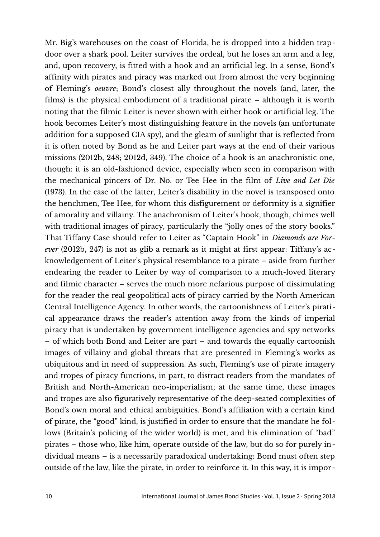Mr. Big's warehouses on the coast of Florida, he is dropped into a hidden trapdoor over a shark pool. Leiter survives the ordeal, but he loses an arm and a leg, and, upon recovery, is fitted with a hook and an artificial leg. In a sense, Bond's affinity with pirates and piracy was marked out from almost the very beginning of Fleming's *oeuvre*; Bond's closest ally throughout the novels (and, later, the films) is the physical embodiment of a traditional pirate – although it is worth noting that the filmic Leiter is never shown with either hook or artificial leg. The hook becomes Leiter's most distinguishing feature in the novels (an unfortunate addition for a supposed CIA spy), and the gleam of sunlight that is reflected from it is often noted by Bond as he and Leiter part ways at the end of their various missions (2012b, 248; 2012d, 349). The choice of a hook is an anachronistic one, though: it is an old-fashioned device, especially when seen in comparison with the mechanical pincers of Dr. No. or Tee Hee in the film of *Live and Let Die* (1973). In the case of the latter, Leiter's disability in the novel is transposed onto the henchmen, Tee Hee, for whom this disfigurement or deformity is a signifier of amorality and villainy. The anachronism of Leiter's hook, though, chimes well with traditional images of piracy, particularly the "jolly ones of the story books." That Tiffany Case should refer to Leiter as "Captain Hook" in *Diamonds are Forever* (2012b, 247) is not as glib a remark as it might at first appear: Tiffany's acknowledgement of Leiter's physical resemblance to a pirate – aside from further endearing the reader to Leiter by way of comparison to a much-loved literary and filmic character – serves the much more nefarious purpose of dissimulating for the reader the real geopolitical acts of piracy carried by the North American Central Intelligence Agency. In other words, the cartoonishness of Leiter's piratical appearance draws the reader's attention away from the kinds of imperial piracy that is undertaken by government intelligence agencies and spy networks – of which both Bond and Leiter are part – and towards the equally cartoonish images of villainy and global threats that are presented in Fleming's works as ubiquitous and in need of suppression. As such, Fleming's use of pirate imagery and tropes of piracy functions, in part, to distract readers from the mandates of British and North-American neo-imperialism; at the same time, these images and tropes are also figuratively representative of the deep-seated complexities of Bond's own moral and ethical ambiguities. Bond's affiliation with a certain kind of pirate, the "good" kind, is justified in order to ensure that the mandate he follows (Britain's policing of the wider world) is met, and his elimination of "bad" pirates – those who, like him, operate outside of the law, but do so for purely individual means – is a necessarily paradoxical undertaking: Bond must often step outside of the law, like the pirate, in order to reinforce it. In this way, it is impor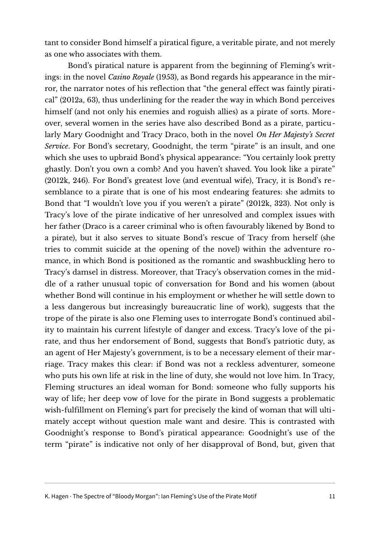tant to consider Bond himself a piratical figure, a veritable pirate, and not merely as one who associates with them.

Bond's piratical nature is apparent from the beginning of Fleming's writings: in the novel *Casino Royale* (1953), as Bond regards his appearance in the mirror, the narrator notes of his reflection that "the general effect was faintly piratical" (2012a, 63), thus underlining for the reader the way in which Bond perceives himself (and not only his enemies and roguish allies) as a pirate of sorts. Moreover, several women in the series have also described Bond as a pirate, particularly Mary Goodnight and Tracy Draco, both in the novel *On Her Majesty's Secret Service*. For Bond's secretary, Goodnight, the term "pirate" is an insult, and one which she uses to upbraid Bond's physical appearance: "You certainly look pretty ghastly. Don't you own a comb? And you haven't shaved. You look like a pirate" (2012k, 246). For Bond's greatest love (and eventual wife), Tracy, it is Bond's resemblance to a pirate that is one of his most endearing features: she admits to Bond that "I wouldn't love you if you weren't a pirate" (2012k, 323). Not only is Tracy's love of the pirate indicative of her unresolved and complex issues with her father (Draco is a career criminal who is often favourably likened by Bond to a pirate), but it also serves to situate Bond's rescue of Tracy from herself (she tries to commit suicide at the opening of the novel) within the adventure romance, in which Bond is positioned as the romantic and swashbuckling hero to Tracy's damsel in distress. Moreover, that Tracy's observation comes in the middle of a rather unusual topic of conversation for Bond and his women (about whether Bond will continue in his employment or whether he will settle down to a less dangerous but increasingly bureaucratic line of work), suggests that the trope of the pirate is also one Fleming uses to interrogate Bond's continued ability to maintain his current lifestyle of danger and excess. Tracy's love of the pirate, and thus her endorsement of Bond, suggests that Bond's patriotic duty, as an agent of Her Majesty's government, is to be a necessary element of their marriage. Tracy makes this clear: if Bond was not a reckless adventurer, someone who puts his own life at risk in the line of duty, she would not love him. In Tracy, Fleming structures an ideal woman for Bond: someone who fully supports his way of life; her deep vow of love for the pirate in Bond suggests a problematic wish-fulfillment on Fleming's part for precisely the kind of woman that will ultimately accept without question male want and desire. This is contrasted with Goodnight's response to Bond's piratical appearance: Goodnight's use of the term "pirate" is indicative not only of her disapproval of Bond, but, given that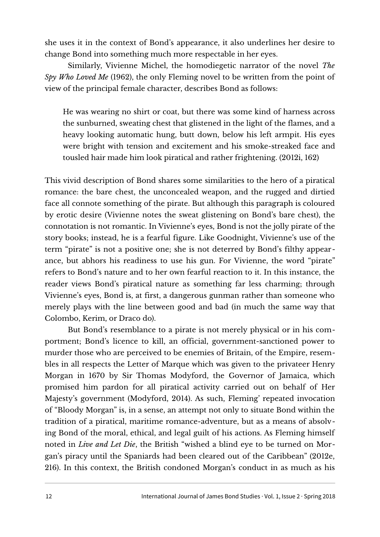she uses it in the context of Bond's appearance, it also underlines her desire to change Bond into something much more respectable in her eyes.

Similarly, Vivienne Michel, the homodiegetic narrator of the novel *The Spy Who Loved Me* (1962), the only Fleming novel to be written from the point of view of the principal female character, describes Bond as follows:

He was wearing no shirt or coat, but there was some kind of harness across the sunburned, sweating chest that glistened in the light of the flames, and a heavy looking automatic hung, butt down, below his left armpit. His eyes were bright with tension and excitement and his smoke-streaked face and tousled hair made him look piratical and rather frightening. (2012i, 162)

This vivid description of Bond shares some similarities to the hero of a piratical romance: the bare chest, the unconcealed weapon, and the rugged and dirtied face all connote something of the pirate. But although this paragraph is coloured by erotic desire (Vivienne notes the sweat glistening on Bond's bare chest), the connotation is not romantic. In Vivienne's eyes, Bond is not the jolly pirate of the story books; instead, he is a fearful figure. Like Goodnight, Vivienne's use of the term "pirate" is not a positive one; she is not deterred by Bond's filthy appearance, but abhors his readiness to use his gun. For Vivienne, the word "pirate" refers to Bond's nature and to her own fearful reaction to it. In this instance, the reader views Bond's piratical nature as something far less charming; through Vivienne's eyes, Bond is, at first, a dangerous gunman rather than someone who merely plays with the line between good and bad (in much the same way that Colombo, Kerim, or Draco do).

But Bond's resemblance to a pirate is not merely physical or in his comportment; Bond's licence to kill, an official, government-sanctioned power to murder those who are perceived to be enemies of Britain, of the Empire, resembles in all respects the Letter of Marque which was given to the privateer Henry Morgan in 1670 by Sir Thomas Modyford, the Governor of Jamaica, which promised him pardon for all piratical activity carried out on behalf of Her Majesty's government (Modyford, 2014). As such, Fleming' repeated invocation of "Bloody Morgan" is, in a sense, an attempt not only to situate Bond within the tradition of a piratical, maritime romance-adventure, but as a means of absolving Bond of the moral, ethical, and legal guilt of his actions. As Fleming himself noted in *Live and Let Die*, the British "wished a blind eye to be turned on Morgan's piracy until the Spaniards had been cleared out of the Caribbean" (2012e, 216). In this context, the British condoned Morgan's conduct in as much as his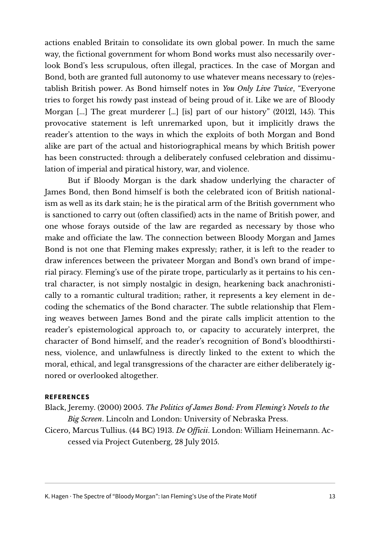actions enabled Britain to consolidate its own global power. In much the same way, the fictional government for whom Bond works must also necessarily overlook Bond's less scrupulous, often illegal, practices. In the case of Morgan and Bond, both are granted full autonomy to use whatever means necessary to (re)establish British power. As Bond himself notes in *You Only Live Twice*, "Everyone tries to forget his rowdy past instead of being proud of it. Like we are of Bloody Morgan [...] The great murderer […] [is] part of our history" (2012l, 145). This provocative statement is left unremarked upon, but it implicitly draws the reader's attention to the ways in which the exploits of both Morgan and Bond alike are part of the actual and historiographical means by which British power has been constructed: through a deliberately confused celebration and dissimulation of imperial and piratical history, war, and violence.

But if Bloody Morgan is the dark shadow underlying the character of James Bond, then Bond himself is both the celebrated icon of British nationalism as well as its dark stain; he is the piratical arm of the British government who is sanctioned to carry out (often classified) acts in the name of British power, and one whose forays outside of the law are regarded as necessary by those who make and officiate the law. The connection between Bloody Morgan and James Bond is not one that Fleming makes expressly; rather, it is left to the reader to draw inferences between the privateer Morgan and Bond's own brand of imperial piracy. Fleming's use of the pirate trope, particularly as it pertains to his central character, is not simply nostalgic in design, hearkening back anachronistically to a romantic cultural tradition; rather, it represents a key element in decoding the schematics of the Bond character. The subtle relationship that Fleming weaves between James Bond and the pirate calls implicit attention to the reader's epistemological approach to, or capacity to accurately interpret, the character of Bond himself, and the reader's recognition of Bond's bloodthirstiness, violence, and unlawfulness is directly linked to the extent to which the moral, ethical, and legal transgressions of the character are either deliberately ignored or overlooked altogether.

## **REFERENCES**

Black, Jeremy. (2000) 2005. *The Politics of James Bond: From Fleming's Novels to the Big Screen*. Lincoln and London: University of Nebraska Press.

Cicero, Marcus Tullius. (44 BC) 1913. *De Officii*. London: William Heinemann. Accessed via Project Gutenberg, 28 July 2015.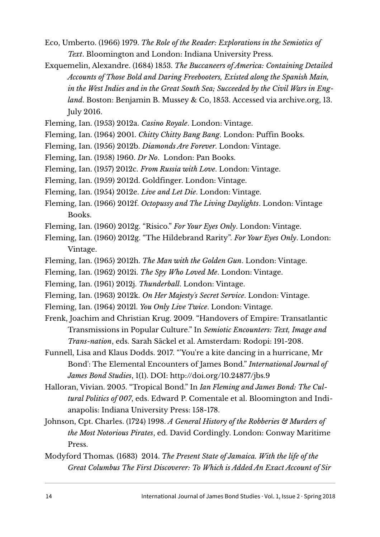- Eco, Umberto. (1966) 1979. *The Role of the Reader: Explorations in the Semiotics of Text*. Bloomington and London: Indiana University Press.
- Exquemelin, Alexandre. (1684) 1853. *The Buccaneers of America: Containing Detailed Accounts of Those Bold and Daring Freebooters, Existed along the Spanish Main, in the West Indies and in the Great South Sea; Succeeded by the Civil Wars in England*. Boston: Benjamin B. Mussey & Co, 1853. Accessed via archive.org, 13. July 2016.
- Fleming, Ian. (1953) 2012a. *Casino Royale*. London: Vintage.
- Fleming, Ian. (1964) 2001. *Chitty Chitty Bang Bang*. London: Puffin Books.
- Fleming, Ian. (1956) 2012b. *Diamonds Are Forever*. London: Vintage.
- Fleming, Ian. (1958) 1960. *Dr No*. London: Pan Books.
- Fleming, Ian. (1957) 2012c. *From Russia with Love*. London: Vintage.
- Fleming, Ian. (1959) 2012d. Goldfinger. London: Vintage.
- Fleming, Ian. (1954) 2012e. *Live and Let Die*. London: Vintage.
- Fleming, Ian. (1966) 2012f. *Octopussy and The Living Daylights*. London: Vintage Books.
- Fleming, Ian. (1960) 2012g. "Risico." *For Your Eyes Only*. London: Vintage.
- Fleming, Ian. (1960) 2012g. "The Hildebrand Rarity". *For Your Eyes Only*. London: Vintage.
- Fleming, Ian. (1965) 2012h. *The Man with the Golden Gun*. London: Vintage.
- Fleming, Ian. (1962) 2012i. *The Spy Who Loved Me*. London: Vintage.
- Fleming, Ian. (1961) 2012j. *Thunderball*. London: Vintage.
- Fleming, Ian. (1963) 2012k. *On Her Majesty's Secret Service*. London: Vintage.
- Fleming, Ian. (1964) 2012l. *You Only Live Twice*. London: Vintage.
- Frenk, Joachim and Christian Krug. 2009. "Handovers of Empire: Transatlantic Transmissions in Popular Culture." In *Semiotic Encounters: Text, Image and Trans-nation*, eds. Sarah Säckel et al. Amsterdam: Rodopi: 191-208.
- Funnell, Lisa and Klaus Dodds. 2017. "'You're a kite dancing in a hurricane, Mr Bond': The Elemental Encounters of James Bond." *International Journal of James Bond Studies*, 1(1). DOI: http://doi.org/10.24877/jbs.9
- Halloran, Vivian. 2005. "Tropical Bond." In *Ian Fleming and James Bond: The Cultural Politics of 007*, eds. Edward P. Comentale et al. Bloomington and Indianapolis: Indiana University Press: 158-178.
- Johnson, Cpt. Charles. (1724) 1998. *A General History of the Robberies & Murders of the Most Notorious Pirates*, ed. David Cordingly. London: Conway Maritime Press.
- Modyford Thomas*.* (1683) 2014. *The Present State of Jamaica. With the life of the Great Columbus The First Discoverer: To Which is Added An Exact Account of Sir*